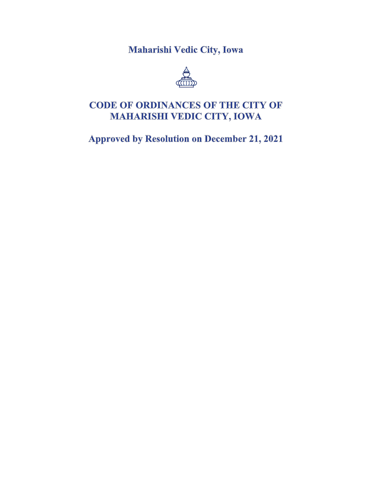Maharishi Vedic City, Iowa



# **CODE OF ORDINANCES OF THE CITY OF MAHARISHI VEDIC CITY, IOWA**

**Approved by Resolution on December 21, 2021**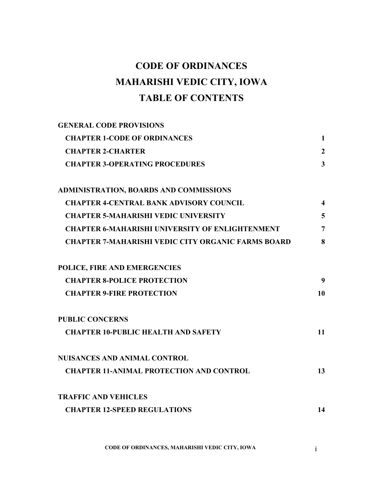# **CODE OF ORDINANCES MAHARISHI VEDIC CITY, IOWA TABLE OF CONTENTS**

| <b>GENERAL CODE PROVISIONS</b>                            |                         |
|-----------------------------------------------------------|-------------------------|
| <b>CHAPTER 1-CODE OF ORDINANCES</b>                       | $\mathbf{1}$            |
| <b>CHAPTER 2-CHARTER</b>                                  | $\overline{2}$          |
| <b>CHAPTER 3-OPERATING PROCEDURES</b>                     | $\overline{3}$          |
| <b>ADMINISTRATION, BOARDS AND COMMISSIONS</b>             |                         |
| <b>CHAPTER 4-CENTRAL BANK ADVISORY COUNCIL</b>            | $\overline{\mathbf{4}}$ |
| <b>CHAPTER 5-MAHARISHI VEDIC UNIVERSITY</b>               | 5                       |
| <b>CHAPTER 6-MAHARISHI UNIVERSITY OF ENLIGHTENMENT</b>    | $\overline{7}$          |
| <b>CHAPTER 7-MAHARISHI VEDIC CITY ORGANIC FARMS BOARD</b> | 8                       |
| POLICE, FIRE AND EMERGENCIES                              |                         |
| <b>CHAPTER 8-POLICE PROTECTION</b>                        | 9                       |
| <b>CHAPTER 9-FIRE PROTECTION</b>                          | 10                      |
| <b>PUBLIC CONCERNS</b>                                    |                         |
| <b>CHAPTER 10-PUBLIC HEALTH AND SAFETY</b>                | 11                      |
| <b>NUISANCES AND ANIMAL CONTROL</b>                       |                         |
| <b>CHAPTER 11-ANIMAL PROTECTION AND CONTROL</b>           | 13                      |
| <b>TRAFFIC AND VEHICLES</b>                               |                         |
| <b>CHAPTER 12-SPEED REGULATIONS</b>                       | 14                      |
|                                                           |                         |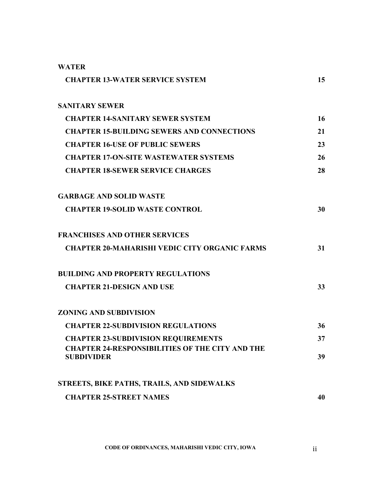| <b>WATER</b>                                                                |    |
|-----------------------------------------------------------------------------|----|
| <b>CHAPTER 13-WATER SERVICE SYSTEM</b>                                      | 15 |
| <b>SANITARY SEWER</b>                                                       |    |
| <b>CHAPTER 14-SANITARY SEWER SYSTEM</b>                                     | 16 |
| <b>CHAPTER 15-BUILDING SEWERS AND CONNECTIONS</b>                           | 21 |
| <b>CHAPTER 16-USE OF PUBLIC SEWERS</b>                                      | 23 |
| <b>CHAPTER 17-ON-SITE WASTEWATER SYSTEMS</b>                                | 26 |
| <b>CHAPTER 18-SEWER SERVICE CHARGES</b>                                     | 28 |
| <b>GARBAGE AND SOLID WASTE</b>                                              |    |
| <b>CHAPTER 19-SOLID WASTE CONTROL</b>                                       | 30 |
| <b>FRANCHISES AND OTHER SERVICES</b>                                        |    |
| <b>CHAPTER 20-MAHARISHI VEDIC CITY ORGANIC FARMS</b>                        | 31 |
| <b>BUILDING AND PROPERTY REGULATIONS</b>                                    |    |
| <b>CHAPTER 21-DESIGN AND USE</b>                                            | 33 |
| <b>ZONING AND SUBDIVISION</b>                                               |    |
| <b>CHAPTER 22-SUBDIVISION REGULATIONS</b>                                   | 36 |
| <b>CHAPTER 23-SUBDIVISION REQUIREMENTS</b>                                  | 37 |
| <b>CHAPTER 24-RESPONSIBILITIES OF THE CITY AND THE</b><br><b>SUBDIVIDER</b> | 39 |
| STREETS, BIKE PATHS, TRAILS, AND SIDEWALKS                                  |    |
| <b>CHAPTER 25-STREET NAMES</b>                                              | 40 |
|                                                                             |    |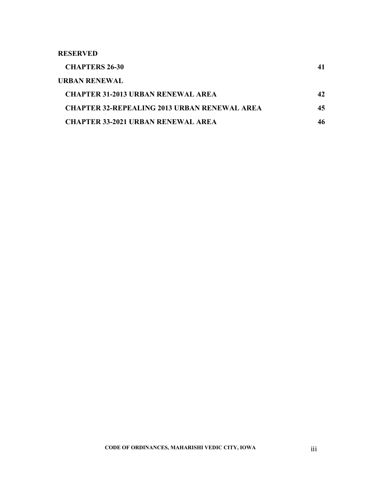**RESERVED**

| <b>CHAPTERS 26-30</b>                               |    |
|-----------------------------------------------------|----|
| URBAN RENEWAL                                       |    |
| <b>CHAPTER 31-2013 URBAN RENEWAL AREA</b>           | 42 |
| <b>CHAPTER 32-REPEALING 2013 URBAN RENEWAL AREA</b> | 45 |
| <b>CHAPTER 33-2021 URBAN RENEWAL AREA</b>           | 46 |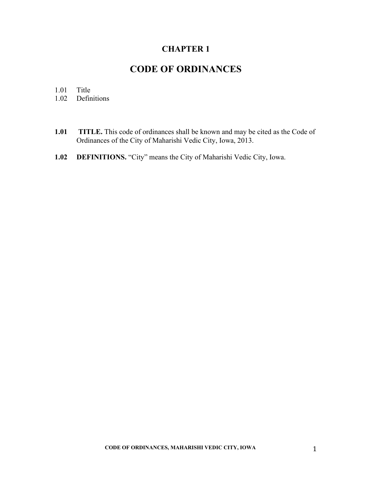# **CODE OF ORDINANCES**

# 1.01 Title<br>1.02 Defin

- Definitions
- **1.01 TITLE.** This code of ordinances shall be known and may be cited as the Code of Ordinances of the City of Maharishi Vedic City, Iowa, 2013.
- **1.02 DEFINITIONS.** "City" means the City of Maharishi Vedic City, Iowa.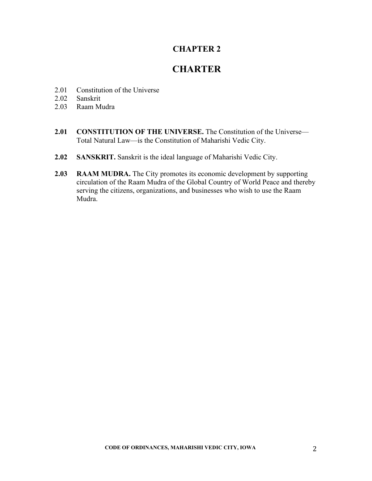# **CHARTER**

- 2.01 Constitution of the Universe<br>2.02 Sanskrit
- Sanskrit
- 2.03 Raam Mudra
- **2.01 CONSTITUTION OF THE UNIVERSE.** The Constitution of the Universe— Total Natural Law—is the Constitution of Maharishi Vedic City.
- **2.02 SANSKRIT.** Sanskrit is the ideal language of Maharishi Vedic City.
- **2.03 RAAM MUDRA.** The City promotes its economic development by supporting circulation of the Raam Mudra of the Global Country of World Peace and thereby serving the citizens, organizations, and businesses who wish to use the Raam Mudra.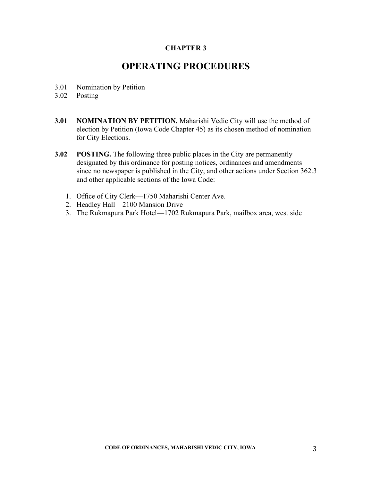## **OPERATING PROCEDURES**

- 3.01 Nomination by Petition
- 3.02 Posting
- **3.01 NOMINATION BY PETITION.** Maharishi Vedic City will use the method of election by Petition (Iowa Code Chapter 45) as its chosen method of nomination for City Elections.
- **3.02 POSTING.** The following three public places in the City are permanently designated by this ordinance for posting notices, ordinances and amendments since no newspaper is published in the City, and other actions under Section 362.3 and other applicable sections of the Iowa Code:
	- 1. Office of City Clerk—1750 Maharishi Center Ave.
	- 2. Headley Hall—2100 Mansion Drive
	- 3. The Rukmapura Park Hotel—1702 Rukmapura Park, mailbox area, west side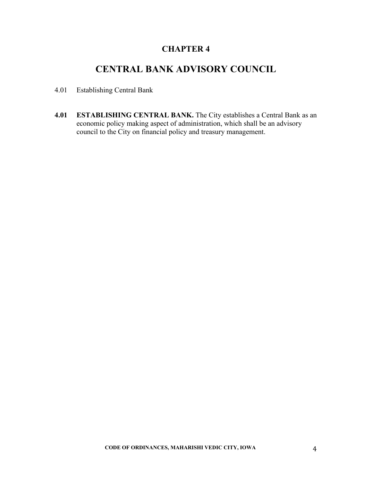# **CENTRAL BANK ADVISORY COUNCIL**

- 4.01 Establishing Central Bank
- **4.01 ESTABLISHING CENTRAL BANK.** The City establishes a Central Bank as an economic policy making aspect of administration, which shall be an advisory council to the City on financial policy and treasury management.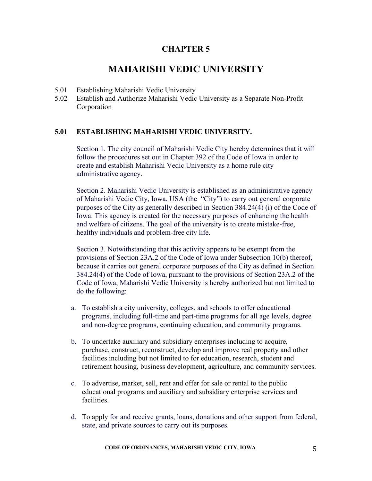# **MAHARISHI VEDIC UNIVERSITY**

- 5.01 Establishing Maharishi Vedic University
- 5.02 Establish and Authorize Maharishi Vedic University as a Separate Non-Profit Corporation

#### **5.01 ESTABLISHING MAHARISHI VEDIC UNIVERSITY.**

Section 1. The city council of Maharishi Vedic City hereby determines that it will follow the procedures set out in Chapter 392 of the Code of Iowa in order to create and establish Maharishi Vedic University as a home rule city administrative agency.

Section 2. Maharishi Vedic University is established as an administrative agency of Maharishi Vedic City, Iowa, USA (the "City") to carry out general corporate purposes of the City as generally described in Section 384.24(4) (i) of the Code of Iowa. This agency is created for the necessary purposes of enhancing the health and welfare of citizens. The goal of the university is to create mistake-free, healthy individuals and problem-free city life.

Section 3. Notwithstanding that this activity appears to be exempt from the provisions of Section 23A.2 of the Code of Iowa under Subsection 10(b) thereof, because it carries out general corporate purposes of the City as defined in Section 384.24(4) of the Code of Iowa, pursuant to the provisions of Section 23A.2 of the Code of Iowa, Maharishi Vedic University is hereby authorized but not limited to do the following:

- a. To establish a city university, colleges, and schools to offer educational programs, including full-time and part-time programs for all age levels, degree and non-degree programs, continuing education, and community programs.
- b. To undertake auxiliary and subsidiary enterprises including to acquire, purchase, construct, reconstruct, develop and improve real property and other facilities including but not limited to for education, research, student and retirement housing, business development, agriculture, and community services.
- c. To advertise, market, sell, rent and offer for sale or rental to the public educational programs and auxiliary and subsidiary enterprise services and facilities.
- d. To apply for and receive grants, loans, donations and other support from federal, state, and private sources to carry out its purposes.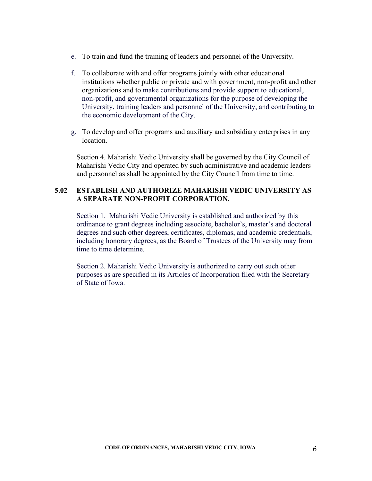- e. To train and fund the training of leaders and personnel of the University.
- f. To collaborate with and offer programs jointly with other educational institutions whether public or private and with government, non-profit and other organizations and to make contributions and provide support to educational, non-profit, and governmental organizations for the purpose of developing the University, training leaders and personnel of the University, and contributing to the economic development of the City.
- g. To develop and offer programs and auxiliary and subsidiary enterprises in any location.

Section 4. Maharishi Vedic University shall be governed by the City Council of Maharishi Vedic City and operated by such administrative and academic leaders and personnel as shall be appointed by the City Council from time to time.

#### **5.02 ESTABLISH AND AUTHORIZE MAHARISHI VEDIC UNIVERSITY AS A SEPARATE NON-PROFIT CORPORATION.**

Section 1. Maharishi Vedic University is established and authorized by this ordinance to grant degrees including associate, bachelor's, master's and doctoral degrees and such other degrees, certificates, diplomas, and academic credentials, including honorary degrees, as the Board of Trustees of the University may from time to time determine.

Section 2. Maharishi Vedic University is authorized to carry out such other purposes as are specified in its Articles of Incorporation filed with the Secretary of State of Iowa.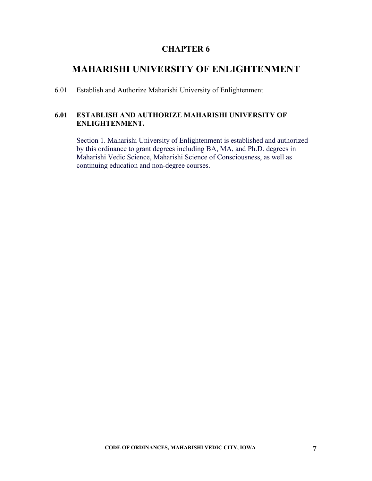# **MAHARISHI UNIVERSITY OF ENLIGHTENMENT**

6.01 Establish and Authorize Maharishi University of Enlightenment

#### **6.01 ESTABLISH AND AUTHORIZE MAHARISHI UNIVERSITY OF ENLIGHTENMENT.**

Section 1. Maharishi University of Enlightenment is established and authorized by this ordinance to grant degrees including BA, MA, and Ph.D. degrees in Maharishi Vedic Science, Maharishi Science of Consciousness, as well as continuing education and non-degree courses.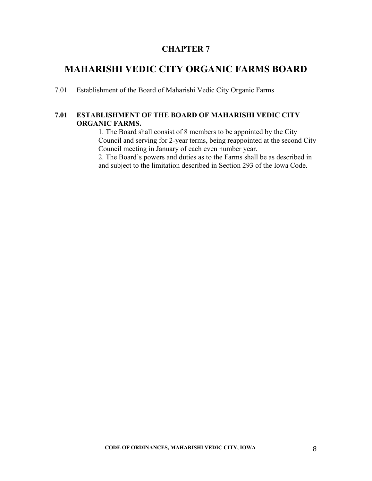# **MAHARISHI VEDIC CITY ORGANIC FARMS BOARD**

7.01 Establishment of the Board of Maharishi Vedic City Organic Farms

#### **7.01 ESTABLISHMENT OF THE BOARD OF MAHARISHI VEDIC CITY ORGANIC FARMS.**

1. The Board shall consist of 8 members to be appointed by the City Council and serving for 2-year terms, being reappointed at the second City Council meeting in January of each even number year. 2. The Board's powers and duties as to the Farms shall be as described in

and subject to the limitation described in Section 293 of the Iowa Code.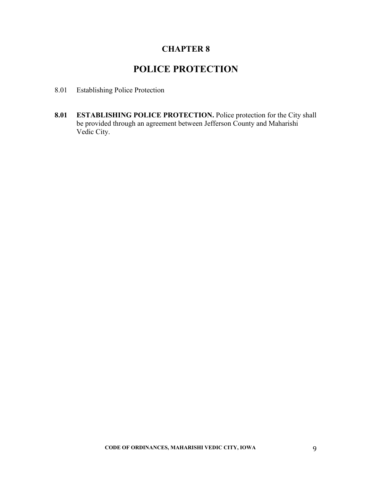# **POLICE PROTECTION**

- 8.01 Establishing Police Protection
- **8.01 ESTABLISHING POLICE PROTECTION.** Police protection for the City shall be provided through an agreement between Jefferson County and Maharishi Vedic City.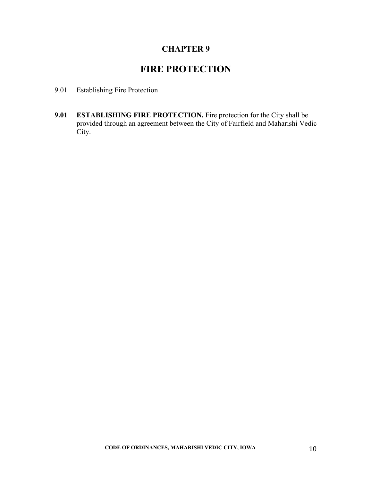# **FIRE PROTECTION**

- 9.01 Establishing Fire Protection
- **9.01 ESTABLISHING FIRE PROTECTION.** Fire protection for the City shall be provided through an agreement between the City of Fairfield and Maharishi Vedic City.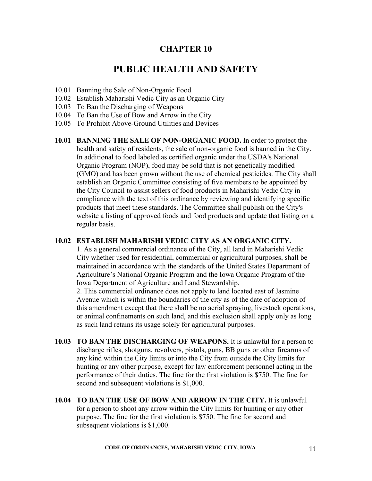# **PUBLIC HEALTH AND SAFETY**

- 10.01 Banning the Sale of Non-Organic Food
- 10.02 Establish Maharishi Vedic City as an Organic City
- 10.03 To Ban the Discharging of Weapons
- 10.04 To Ban the Use of Bow and Arrow in the City
- 10.05 To Prohibit Above-Ground Utilities and Devices
- **10.01 BANNING THE SALE OF NON-ORGANIC FOOD.** In order to protect the health and safety of residents, the sale of non-organic food is banned in the City. In additional to food labeled as certified organic under the USDA's National Organic Program (NOP), food may be sold that is not genetically modified (GMO) and has been grown without the use of chemical pesticides. The City shall establish an Organic Committee consisting of five members to be appointed by the City Council to assist sellers of food products in Maharishi Vedic City in compliance with the text of this ordinance by reviewing and identifying specific products that meet these standards. The Committee shall publish on the City's website a listing of approved foods and food products and update that listing on a regular basis.

#### **10.02 ESTABLISH MAHARISHI VEDIC CITY AS AN ORGANIC CITY.**

1. As a general commercial ordinance of the City, all land in Maharishi Vedic City whether used for residential, commercial or agricultural purposes, shall be maintained in accordance with the standards of the United States Department of Agriculture's National Organic Program and the Iowa Organic Program of the Iowa Department of Agriculture and Land Stewardship.

2. This commercial ordinance does not apply to land located east of Jasmine Avenue which is within the boundaries of the city as of the date of adoption of this amendment except that there shall be no aerial spraying, livestock operations, or animal confinements on such land, and this exclusion shall apply only as long as such land retains its usage solely for agricultural purposes.

- **10.03 TO BAN THE DISCHARGING OF WEAPONS.** It is unlawful for a person to discharge rifles, shotguns, revolvers, pistols, guns, BB guns or other firearms of any kind within the City limits or into the City from outside the City limits for hunting or any other purpose, except for law enforcement personnel acting in the performance of their duties. The fine for the first violation is \$750. The fine for second and subsequent violations is \$1,000.
- **10.04 TO BAN THE USE OF BOW AND ARROW IN THE CITY.** It is unlawful for a person to shoot any arrow within the City limits for hunting or any other purpose. The fine for the first violation is \$750. The fine for second and subsequent violations is \$1,000.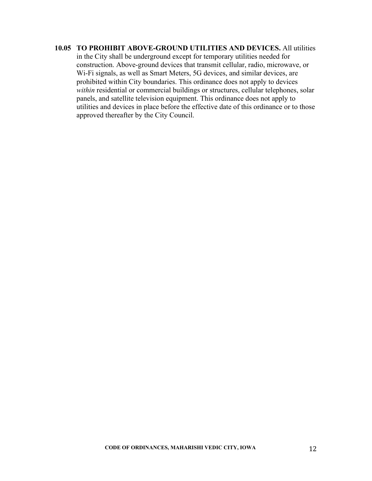#### **10.05 TO PROHIBIT ABOVE-GROUND UTILITIES AND DEVICES.** All utilities in the City shall be underground except for temporary utilities needed for construction. Above-ground devices that transmit cellular, radio, microwave, or Wi-Fi signals, as well as Smart Meters, 5G devices, and similar devices, are prohibited within City boundaries. This ordinance does not apply to devices *within* residential or commercial buildings or structures, cellular telephones, solar panels, and satellite television equipment. This ordinance does not apply to utilities and devices in place before the effective date of this ordinance or to those approved thereafter by the City Council.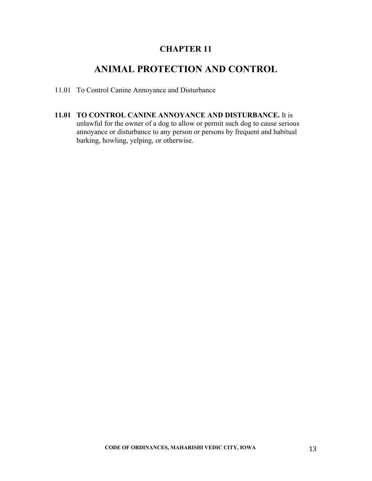# **ANIMAL PROTECTION AND CONTROL**

#### 11.01 To Control Canine Annoyance and Disturbance

**11.01 TO CONTROL CANINE ANNOYANCE AND DISTURBANCE.** It is unlawful for the owner of a dog to allow or permit such dog to cause serious annoyance or disturbance to any person or persons by frequent and habitual barking, howling, yelping, or otherwise.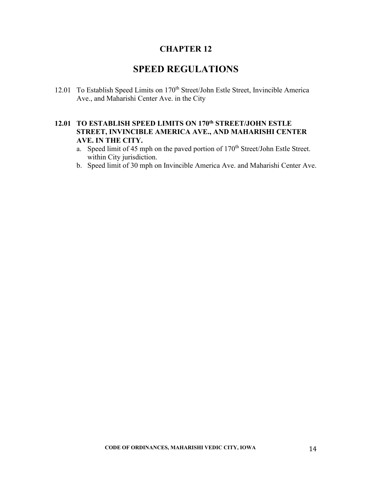# **SPEED REGULATIONS**

12.01 To Establish Speed Limits on 170<sup>th</sup> Street/John Estle Street, Invincible America Ave., and Maharishi Center Ave. in the City

#### **12.01 TO ESTABLISH SPEED LIMITS ON 170th STREET/JOHN ESTLE STREET, INVINCIBLE AMERICA AVE., AND MAHARISHI CENTER AVE. IN THE CITY.**

- a. Speed limit of 45 mph on the paved portion of 170<sup>th</sup> Street/John Estle Street. within City jurisdiction.
- b. Speed limit of 30 mph on Invincible America Ave. and Maharishi Center Ave.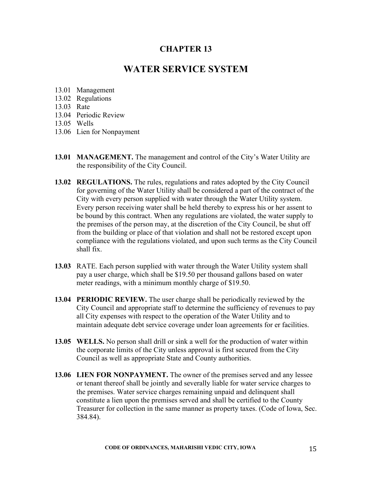## **WATER SERVICE SYSTEM**

- 13.01 Management
- 13.02 Regulations
- 13.03 Rate
- 13.04 Periodic Review
- 13.05 Wells
- 13.06 Lien for Nonpayment
- **13.01 MANAGEMENT.** The management and control of the City's Water Utility are the responsibility of the City Council.
- **13.02 REGULATIONS.** The rules, regulations and rates adopted by the City Council for governing of the Water Utility shall be considered a part of the contract of the City with every person supplied with water through the Water Utility system. Every person receiving water shall be held thereby to express his or her assent to be bound by this contract. When any regulations are violated, the water supply to the premises of the person may, at the discretion of the City Council, be shut off from the building or place of that violation and shall not be restored except upon compliance with the regulations violated, and upon such terms as the City Council shall fix.
- **13.03** RATE. Each person supplied with water through the Water Utility system shall pay a user charge, which shall be \$19.50 per thousand gallons based on water meter readings, with a minimum monthly charge of \$19.50.
- **13.04 PERIODIC REVIEW.** The user charge shall be periodically reviewed by the City Council and appropriate staff to determine the sufficiency of revenues to pay all City expenses with respect to the operation of the Water Utility and to maintain adequate debt service coverage under loan agreements for er facilities.
- **13.05 WELLS.** No person shall drill or sink a well for the production of water within the corporate limits of the City unless approval is first secured from the City Council as well as appropriate State and County authorities.
- **13.06 LIEN FOR NONPAYMENT.** The owner of the premises served and any lessee or tenant thereof shall be jointly and severally liable for water service charges to the premises. Water service charges remaining unpaid and delinquent shall constitute a lien upon the premises served and shall be certified to the County Treasurer for collection in the same manner as property taxes. (Code of Iowa, Sec. 384.84).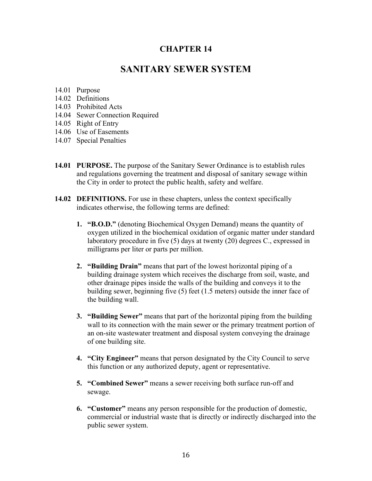# **SANITARY SEWER SYSTEM**

- 14.01 Purpose
- 14.02 Definitions
- 14.03 Prohibited Acts
- 14.04 Sewer Connection Required
- 14.05 Right of Entry
- 14.06 Use of Easements
- 14.07 Special Penalties
- **14.01 PURPOSE.** The purpose of the Sanitary Sewer Ordinance is to establish rules and regulations governing the treatment and disposal of sanitary sewage within the City in order to protect the public health, safety and welfare.
- **14.02 DEFINITIONS.** For use in these chapters, unless the context specifically indicates otherwise, the following terms are defined:
	- **1. "B.O.D."** (denoting Biochemical Oxygen Demand) means the quantity of oxygen utilized in the biochemical oxidation of organic matter under standard laboratory procedure in five (5) days at twenty (20) degrees C., expressed in milligrams per liter or parts per million.
	- **2. "Building Drain"** means that part of the lowest horizontal piping of a building drainage system which receives the discharge from soil, waste, and other drainage pipes inside the walls of the building and conveys it to the building sewer, beginning five (5) feet (1.5 meters) outside the inner face of the building wall.
	- **3. "Building Sewer"** means that part of the horizontal piping from the building wall to its connection with the main sewer or the primary treatment portion of an on-site wastewater treatment and disposal system conveying the drainage of one building site.
	- **4. "City Engineer"** means that person designated by the City Council to serve this function or any authorized deputy, agent or representative.
	- **5. "Combined Sewer"** means a sewer receiving both surface run-off and sewage.
	- **6. "Customer"** means any person responsible for the production of domestic, commercial or industrial waste that is directly or indirectly discharged into the public sewer system.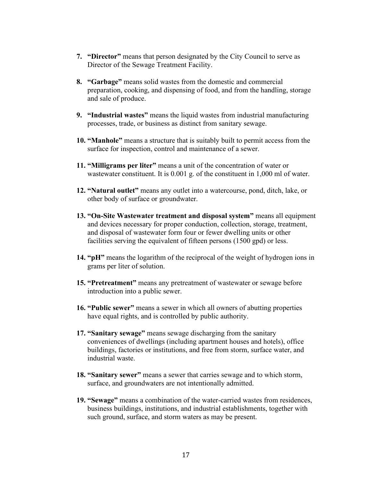- **7. "Director"** means that person designated by the City Council to serve as Director of the Sewage Treatment Facility.
- **8. "Garbage"** means solid wastes from the domestic and commercial preparation, cooking, and dispensing of food, and from the handling, storage and sale of produce.
- **9. "Industrial wastes"** means the liquid wastes from industrial manufacturing processes, trade, or business as distinct from sanitary sewage.
- **10. "Manhole"** means a structure that is suitably built to permit access from the surface for inspection, control and maintenance of a sewer.
- **11. "Milligrams per liter"** means a unit of the concentration of water or wastewater constituent. It is 0.001 g. of the constituent in 1,000 ml of water.
- **12. "Natural outlet"** means any outlet into a watercourse, pond, ditch, lake, or other body of surface or groundwater.
- **13. "On-Site Wastewater treatment and disposal system"** means all equipment and devices necessary for proper conduction, collection, storage, treatment, and disposal of wastewater form four or fewer dwelling units or other facilities serving the equivalent of fifteen persons (1500 gpd) or less.
- **14. "pH"** means the logarithm of the reciprocal of the weight of hydrogen ions in grams per liter of solution.
- **15. "Pretreatment"** means any pretreatment of wastewater or sewage before introduction into a public sewer.
- **16. "Public sewer"** means a sewer in which all owners of abutting properties have equal rights, and is controlled by public authority.
- **17. "Sanitary sewage"** means sewage discharging from the sanitary conveniences of dwellings (including apartment houses and hotels), office buildings, factories or institutions, and free from storm, surface water, and industrial waste.
- **18. "Sanitary sewer"** means a sewer that carries sewage and to which storm, surface, and groundwaters are not intentionally admitted.
- **19. "Sewage"** means a combination of the water-carried wastes from residences, business buildings, institutions, and industrial establishments, together with such ground, surface, and storm waters as may be present.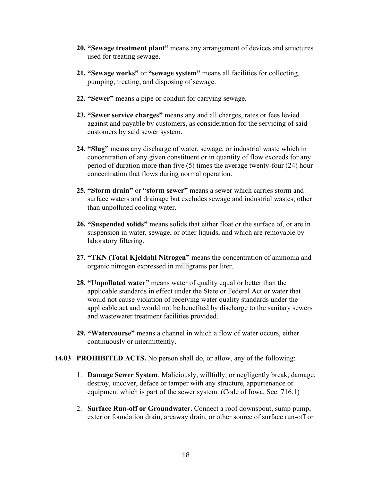- **20. "Sewage treatment plant"** means any arrangement of devices and structures used for treating sewage.
- **21. "Sewage works"** or **"sewage system"** means all facilities for collecting, pumping, treating, and disposing of sewage.
- **22. "Sewer"** means a pipe or conduit for carrying sewage.
- **23. "Sewer service charges"** means any and all charges, rates or fees levied against and payable by customers, as consideration for the servicing of said customers by said sewer system.
- **24. "Slug"** means any discharge of water, sewage, or industrial waste which in concentration of any given constituent or in quantity of flow exceeds for any period of duration more than five (5) times the average twenty-four (24) hour concentration that flows during normal operation.
- **25. "Storm drain"** or **"storm sewer"** means a sewer which carries storm and surface waters and drainage but excludes sewage and industrial wastes, other than unpolluted cooling water.
- **26. "Suspended solids"** means solids that either float or the surface of, or are in suspension in water, sewage, or other liquids, and which are removable by laboratory filtering.
- **27. "TKN (Total Kjeldahl Nitrogen"** means the concentration of ammonia and organic nitrogen expressed in milligrams per liter.
- **28. "Unpolluted water"** means water of quality equal or better than the applicable standards in effect under the State or Federal Act or water that would not cause violation of receiving water quality standards under the applicable act and would not be benefited by discharge to the sanitary sewers and wastewater treatment facilities provided.
- **29. "Watercourse"** means a channel in which a flow of water occurs, either continuously or intermittently.
- **14.03 PROHIBITED ACTS.** No person shall do, or allow, any of the following:
	- 1. **Damage Sewer System**. Maliciously, willfully, or negligently break, damage, destroy, uncover, deface or tamper with any structure, appurtenance or equipment which is part of the sewer system. (Code of Iowa, Sec. 716.1)
	- 2. **Surface Run-off or Groundwater.** Connect a roof downspout, sump pump, exterior foundation drain, areaway drain, or other source of surface run-off or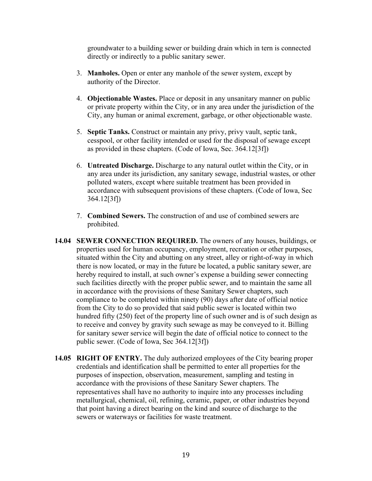groundwater to a building sewer or building drain which in tern is connected directly or indirectly to a public sanitary sewer.

- 3. **Manholes.** Open or enter any manhole of the sewer system, except by authority of the Director.
- 4. **Objectionable Wastes.** Place or deposit in any unsanitary manner on public or private property within the City, or in any area under the jurisdiction of the City, any human or animal excrement, garbage, or other objectionable waste.
- 5. **Septic Tanks.** Construct or maintain any privy, privy vault, septic tank, cesspool, or other facility intended or used for the disposal of sewage except as provided in these chapters. (Code of Iowa, Sec. 364.12[3f])
- 6. **Untreated Discharge.** Discharge to any natural outlet within the City, or in any area under its jurisdiction, any sanitary sewage, industrial wastes, or other polluted waters, except where suitable treatment has been provided in accordance with subsequent provisions of these chapters. (Code of Iowa, Sec 364.12[3f])
- 7. **Combined Sewers.** The construction of and use of combined sewers are prohibited.
- **14.04 SEWER CONNECTION REQUIRED.** The owners of any houses, buildings, or properties used for human occupancy, employment, recreation or other purposes, situated within the City and abutting on any street, alley or right-of-way in which there is now located, or may in the future be located, a public sanitary sewer, are hereby required to install, at such owner's expense a building sewer connecting such facilities directly with the proper public sewer, and to maintain the same all in accordance with the provisions of these Sanitary Sewer chapters, such compliance to be completed within ninety (90) days after date of official notice from the City to do so provided that said public sewer is located within two hundred fifty (250) feet of the property line of such owner and is of such design as to receive and convey by gravity such sewage as may be conveyed to it. Billing for sanitary sewer service will begin the date of official notice to connect to the public sewer. (Code of Iowa, Sec 364.12[3f])
- **14.05 RIGHT OF ENTRY.** The duly authorized employees of the City bearing proper credentials and identification shall be permitted to enter all properties for the purposes of inspection, observation, measurement, sampling and testing in accordance with the provisions of these Sanitary Sewer chapters. The representatives shall have no authority to inquire into any processes including metallurgical, chemical, oil, refining, ceramic, paper, or other industries beyond that point having a direct bearing on the kind and source of discharge to the sewers or waterways or facilities for waste treatment.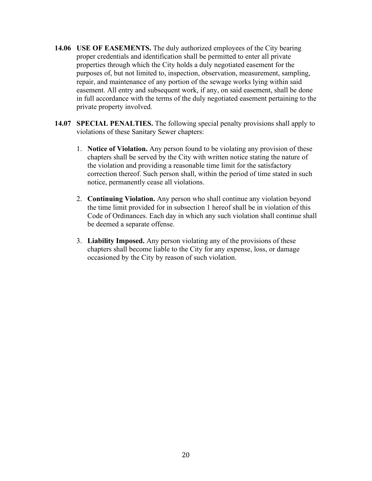- **14.06 USE OF EASEMENTS.** The duly authorized employees of the City bearing proper credentials and identification shall be permitted to enter all private properties through which the City holds a duly negotiated easement for the purposes of, but not limited to, inspection, observation, measurement, sampling, repair, and maintenance of any portion of the sewage works lying within said easement. All entry and subsequent work, if any, on said easement, shall be done in full accordance with the terms of the duly negotiated easement pertaining to the private property involved.
- **14.07 SPECIAL PENALTIES.** The following special penalty provisions shall apply to violations of these Sanitary Sewer chapters:
	- 1. **Notice of Violation.** Any person found to be violating any provision of these chapters shall be served by the City with written notice stating the nature of the violation and providing a reasonable time limit for the satisfactory correction thereof. Such person shall, within the period of time stated in such notice, permanently cease all violations.
	- 2. **Continuing Violation.** Any person who shall continue any violation beyond the time limit provided for in subsection 1 hereof shall be in violation of this Code of Ordinances. Each day in which any such violation shall continue shall be deemed a separate offense.
	- 3. **Liability Imposed.** Any person violating any of the provisions of these chapters shall become liable to the City for any expense, loss, or damage occasioned by the City by reason of such violation.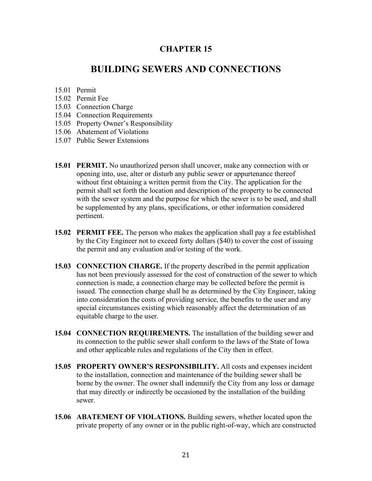### **BUILDING SEWERS AND CONNECTIONS**

- 15.01 Permit
- 15.02 Permit Fee
- 15.03 Connection Charge
- 15.04 Connection Requirements
- 15.05 Property Owner's Responsibility
- 15.06 Abatement of Violations
- 15.07 Public Sewer Extensions
- **15.01 PERMIT.** No unauthorized person shall uncover, make any connection with or opening into, use, alter or disturb any public sewer or appurtenance thereof without first obtaining a written permit from the City. The application for the permit shall set forth the location and description of the property to be connected with the sewer system and the purpose for which the sewer is to be used, and shall be supplemented by any plans, specifications, or other information considered pertinent.
- **15.02 PERMIT FEE.** The person who makes the application shall pay a fee established by the City Engineer not to exceed forty dollars (\$40) to cover the cost of issuing the permit and any evaluation and/or testing of the work.
- **15.03 CONNECTION CHARGE.** If the property described in the permit application has not been previously assessed for the cost of construction of the sewer to which connection is made, a connection charge may be collected before the permit is issued. The connection charge shall be as determined by the City Engineer, taking into consideration the costs of providing service, the benefits to the user and any special circumstances existing which reasonably affect the determination of an equitable charge to the user.
- **15.04 CONNECTION REQUIREMENTS.** The installation of the building sewer and its connection to the public sewer shall conform to the laws of the State of Iowa and other applicable rules and regulations of the City then in effect.
- **15.05 PROPERTY OWNER'S RESPONSIBILITY.** All costs and expenses incident to the installation, connection and maintenance of the building sewer shall be borne by the owner. The owner shall indemnify the City from any loss or damage that may directly or indirectly be occasioned by the installation of the building sewer.
- **15.06 ABATEMENT OF VIOLATIONS.** Building sewers, whether located upon the private property of any owner or in the public right-of-way, which are constructed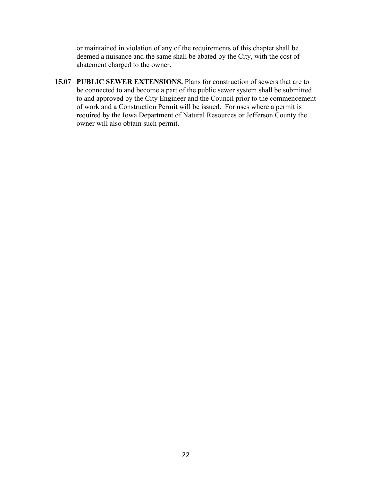or maintained in violation of any of the requirements of this chapter shall be deemed a nuisance and the same shall be abated by the City, with the cost of abatement charged to the owner.

**15.07 PUBLIC SEWER EXTENSIONS.** Plans for construction of sewers that are to be connected to and become a part of the public sewer system shall be submitted to and approved by the City Engineer and the Council prior to the commencement of work and a Construction Permit will be issued. For uses where a permit is required by the Iowa Department of Natural Resources or Jefferson County the owner will also obtain such permit.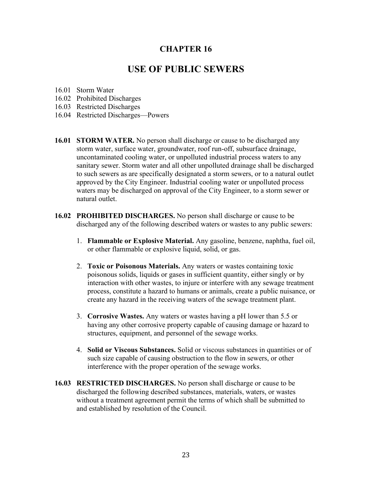### **USE OF PUBLIC SEWERS**

- 16.01 Storm Water
- 16.02 Prohibited Discharges
- 16.03 Restricted Discharges
- 16.04 Restricted Discharges—Powers
- **16.01 STORM WATER.** No person shall discharge or cause to be discharged any storm water, surface water, groundwater, roof run-off, subsurface drainage, uncontaminated cooling water, or unpolluted industrial process waters to any sanitary sewer. Storm water and all other unpolluted drainage shall be discharged to such sewers as are specifically designated a storm sewers, or to a natural outlet approved by the City Engineer. Industrial cooling water or unpolluted process waters may be discharged on approval of the City Engineer, to a storm sewer or natural outlet.
- **16.02 PROHIBITED DISCHARGES.** No person shall discharge or cause to be discharged any of the following described waters or wastes to any public sewers:
	- 1. **Flammable or Explosive Material.** Any gasoline, benzene, naphtha, fuel oil, or other flammable or explosive liquid, solid, or gas.
	- 2. **Toxic or Poisonous Materials.** Any waters or wastes containing toxic poisonous solids, liquids or gases in sufficient quantity, either singly or by interaction with other wastes, to injure or interfere with any sewage treatment process, constitute a hazard to humans or animals, create a public nuisance, or create any hazard in the receiving waters of the sewage treatment plant.
	- 3. **Corrosive Wastes.** Any waters or wastes having a pH lower than 5.5 or having any other corrosive property capable of causing damage or hazard to structures, equipment, and personnel of the sewage works.
	- 4. **Solid or Viscous Substances.** Solid or viscous substances in quantities or of such size capable of causing obstruction to the flow in sewers, or other interference with the proper operation of the sewage works.
- **16.03 RESTRICTED DISCHARGES.** No person shall discharge or cause to be discharged the following described substances, materials, waters, or wastes without a treatment agreement permit the terms of which shall be submitted to and established by resolution of the Council.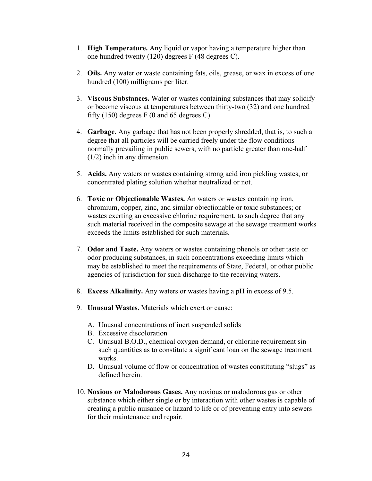- 1. **High Temperature.** Any liquid or vapor having a temperature higher than one hundred twenty (120) degrees F (48 degrees C).
- 2. **Oils.** Any water or waste containing fats, oils, grease, or wax in excess of one hundred (100) milligrams per liter.
- 3. **Viscous Substances.** Water or wastes containing substances that may solidify or become viscous at temperatures between thirty-two (32) and one hundred fifty (150) degrees F (0 and 65 degrees C).
- 4. **Garbage.** Any garbage that has not been properly shredded, that is, to such a degree that all particles will be carried freely under the flow conditions normally prevailing in public sewers, with no particle greater than one-half (1/2) inch in any dimension.
- 5. **Acids.** Any waters or wastes containing strong acid iron pickling wastes, or concentrated plating solution whether neutralized or not.
- 6. **Toxic or Objectionable Wastes.** An waters or wastes containing iron, chromium, copper, zinc, and similar objectionable or toxic substances; or wastes exerting an excessive chlorine requirement, to such degree that any such material received in the composite sewage at the sewage treatment works exceeds the limits established for such materials.
- 7. **Odor and Taste.** Any waters or wastes containing phenols or other taste or odor producing substances, in such concentrations exceeding limits which may be established to meet the requirements of State, Federal, or other public agencies of jurisdiction for such discharge to the receiving waters.
- 8. **Excess Alkalinity.** Any waters or wastes having a pH in excess of 9.5.
- 9. **Unusual Wastes.** Materials which exert or cause:
	- A. Unusual concentrations of inert suspended solids
	- B. Excessive discoloration
	- C. Unusual B.O.D., chemical oxygen demand, or chlorine requirement sin such quantities as to constitute a significant loan on the sewage treatment works.
	- D. Unusual volume of flow or concentration of wastes constituting "slugs" as defined herein.
- 10. **Noxious or Malodorous Gases.** Any noxious or malodorous gas or other substance which either single or by interaction with other wastes is capable of creating a public nuisance or hazard to life or of preventing entry into sewers for their maintenance and repair.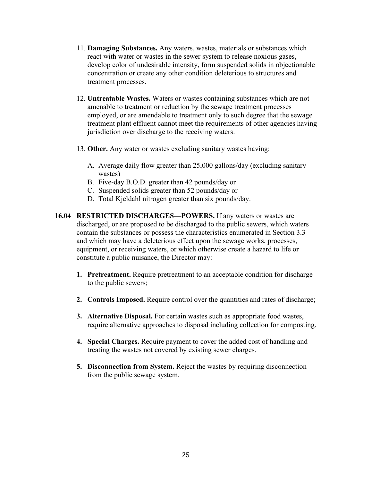- 11. **Damaging Substances.** Any waters, wastes, materials or substances which react with water or wastes in the sewer system to release noxious gases, develop color of undesirable intensity, form suspended solids in objectionable concentration or create any other condition deleterious to structures and treatment processes.
- 12. **Untreatable Wastes.** Waters or wastes containing substances which are not amenable to treatment or reduction by the sewage treatment processes employed, or are amendable to treatment only to such degree that the sewage treatment plant effluent cannot meet the requirements of other agencies having jurisdiction over discharge to the receiving waters.
- 13. **Other.** Any water or wastes excluding sanitary wastes having:
	- A. Average daily flow greater than 25,000 gallons/day (excluding sanitary wastes)
	- B. Five-day B.O.D. greater than 42 pounds/day or
	- C. Suspended solids greater than 52 pounds/day or
	- D. Total Kjeldahl nitrogen greater than six pounds/day.
- **16.04 RESTRICTED DISCHARGES—POWERS.** If any waters or wastes are discharged, or are proposed to be discharged to the public sewers, which waters contain the substances or possess the characteristics enumerated in Section 3.3 and which may have a deleterious effect upon the sewage works, processes, equipment, or receiving waters, or which otherwise create a hazard to life or constitute a public nuisance, the Director may:
	- **1. Pretreatment.** Require pretreatment to an acceptable condition for discharge to the public sewers;
	- **2. Controls Imposed.** Require control over the quantities and rates of discharge;
	- **3. Alternative Disposal.** For certain wastes such as appropriate food wastes, require alternative approaches to disposal including collection for composting.
	- **4. Special Charges.** Require payment to cover the added cost of handling and treating the wastes not covered by existing sewer charges.
	- **5. Disconnection from System.** Reject the wastes by requiring disconnection from the public sewage system.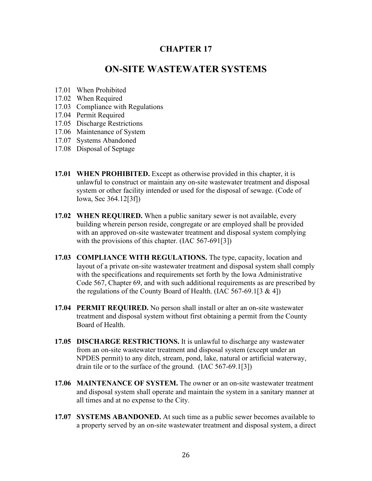### **ON-SITE WASTEWATER SYSTEMS**

- 17.01 When Prohibited
- 17.02 When Required
- 17.03 Compliance with Regulations
- 17.04 Permit Required
- 17.05 Discharge Restrictions
- 17.06 Maintenance of System
- 17.07 Systems Abandoned
- 17.08 Disposal of Septage
- **17.01 WHEN PROHIBITED.** Except as otherwise provided in this chapter, it is unlawful to construct or maintain any on-site wastewater treatment and disposal system or other facility intended or used for the disposal of sewage. (Code of Iowa, Sec 364.12[3f])
- **17.02 WHEN REQUIRED.** When a public sanitary sewer is not available, every building wherein person reside, congregate or are employed shall be provided with an approved on-site wastewater treatment and disposal system complying with the provisions of this chapter. (IAC 567-691[3])
- **17.03 COMPLIANCE WITH REGULATIONS.** The type, capacity, location and layout of a private on-site wastewater treatment and disposal system shall comply with the specifications and requirements set forth by the Iowa Administrative Code 567, Chapter 69, and with such additional requirements as are prescribed by the regulations of the County Board of Health. (IAC 567-69.1[3 & 4])
- **17.04 PERMIT REQUIRED.** No person shall install or alter an on-site wastewater treatment and disposal system without first obtaining a permit from the County Board of Health.
- **17.05 DISCHARGE RESTRICTIONS.** It is unlawful to discharge any wastewater from an on-site wastewater treatment and disposal system (except under an NPDES permit) to any ditch, stream, pond, lake, natural or artificial waterway, drain tile or to the surface of the ground. (IAC 567-69.1[3])
- **17.06 MAINTENANCE OF SYSTEM.** The owner or an on-site wastewater treatment and disposal system shall operate and maintain the system in a sanitary manner at all times and at no expense to the City.
- **17.07 SYSTEMS ABANDONED.** At such time as a public sewer becomes available to a property served by an on-site wastewater treatment and disposal system, a direct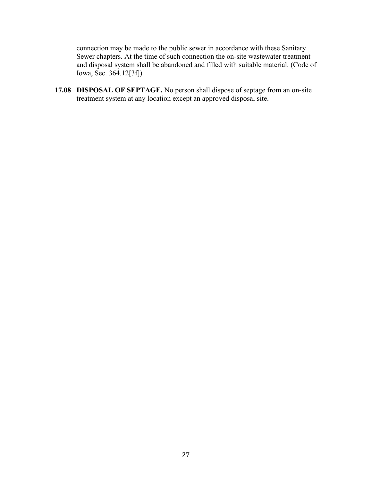connection may be made to the public sewer in accordance with these Sanitary Sewer chapters. At the time of such connection the on-site wastewater treatment and disposal system shall be abandoned and filled with suitable material. (Code of Iowa, Sec. 364.12[3f])

**17.08 DISPOSAL OF SEPTAGE.** No person shall dispose of septage from an on-site treatment system at any location except an approved disposal site.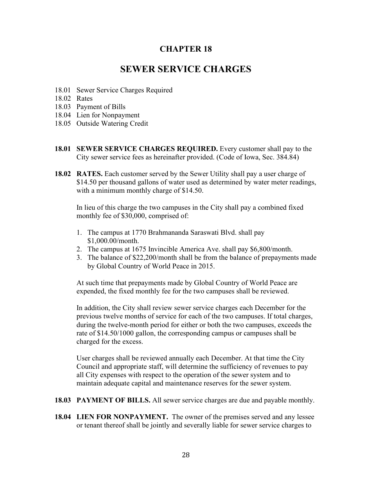# **SEWER SERVICE CHARGES**

- 18.01 Sewer Service Charges Required
- 18.02 Rates
- 18.03 Payment of Bills
- 18.04 Lien for Nonpayment
- 18.05 Outside Watering Credit
- **18.01 SEWER SERVICE CHARGES REQUIRED.** Every customer shall pay to the City sewer service fees as hereinafter provided. (Code of Iowa, Sec. 384.84)
- **18.02 RATES.** Each customer served by the Sewer Utility shall pay a user charge of \$14.50 per thousand gallons of water used as determined by water meter readings, with a minimum monthly charge of \$14.50.

In lieu of this charge the two campuses in the City shall pay a combined fixed monthly fee of \$30,000, comprised of:

- 1. The campus at 1770 Brahmananda Saraswati Blvd. shall pay \$1,000.00/month.
- 2. The campus at 1675 Invincible America Ave. shall pay \$6,800/month.
- 3. The balance of \$22,200/month shall be from the balance of prepayments made by Global Country of World Peace in 2015.

At such time that prepayments made by Global Country of World Peace are expended, the fixed monthly fee for the two campuses shall be reviewed.

In addition, the City shall review sewer service charges each December for the previous twelve months of service for each of the two campuses. If total charges, during the twelve-month period for either or both the two campuses, exceeds the rate of \$14.50/1000 gallon, the corresponding campus or campuses shall be charged for the excess.

User charges shall be reviewed annually each December. At that time the City Council and appropriate staff, will determine the sufficiency of revenues to pay all City expenses with respect to the operation of the sewer system and to maintain adequate capital and maintenance reserves for the sewer system.

- **18.03 PAYMENT OF BILLS.** All sewer service charges are due and payable monthly.
- **18.04 LIEN FOR NONPAYMENT.** The owner of the premises served and any lessee or tenant thereof shall be jointly and severally liable for sewer service charges to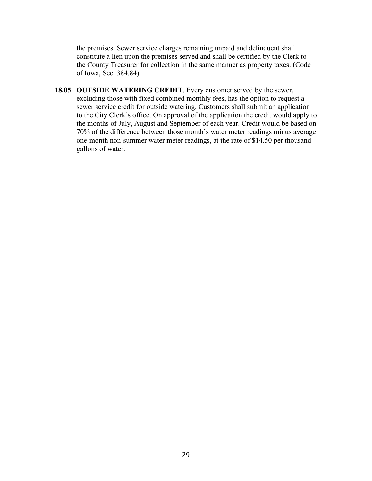the premises. Sewer service charges remaining unpaid and delinquent shall constitute a lien upon the premises served and shall be certified by the Clerk to the County Treasurer for collection in the same manner as property taxes. (Code of Iowa, Sec. 384.84).

**18.05 OUTSIDE WATERING CREDIT**. Every customer served by the sewer, excluding those with fixed combined monthly fees, has the option to request a sewer service credit for outside watering. Customers shall submit an application to the City Clerk's office. On approval of the application the credit would apply to the months of July, August and September of each year. Credit would be based on 70% of the difference between those month's water meter readings minus average one-month non-summer water meter readings, at the rate of \$14.50 per thousand gallons of water.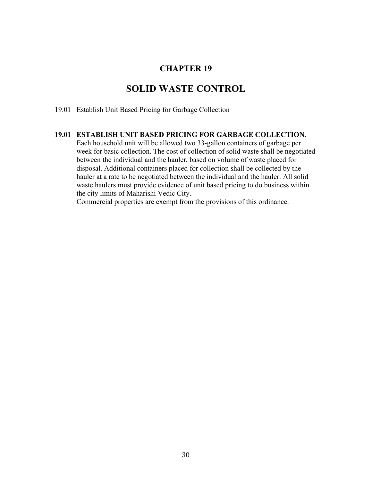# **SOLID WASTE CONTROL**

19.01 Establish Unit Based Pricing for Garbage Collection

#### **19.01 ESTABLISH UNIT BASED PRICING FOR GARBAGE COLLECTION.**

Each household unit will be allowed two 33-gallon containers of garbage per week for basic collection. The cost of collection of solid waste shall be negotiated between the individual and the hauler, based on volume of waste placed for disposal. Additional containers placed for collection shall be collected by the hauler at a rate to be negotiated between the individual and the hauler. All solid waste haulers must provide evidence of unit based pricing to do business within the city limits of Maharishi Vedic City.

Commercial properties are exempt from the provisions of this ordinance.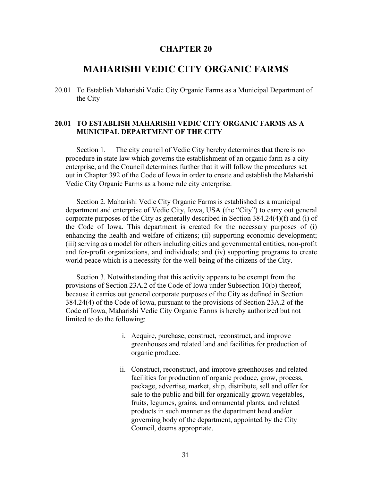### **MAHARISHI VEDIC CITY ORGANIC FARMS**

20.01 To Establish Maharishi Vedic City Organic Farms as a Municipal Department of the City

#### **20.01 TO ESTABLISH MAHARISHI VEDIC CITY ORGANIC FARMS AS A MUNICIPAL DEPARTMENT OF THE CITY**

Section 1. The city council of Vedic City hereby determines that there is no procedure in state law which governs the establishment of an organic farm as a city enterprise, and the Council determines further that it will follow the procedures set out in Chapter 392 of the Code of Iowa in order to create and establish the Maharishi Vedic City Organic Farms as a home rule city enterprise.

Section 2. Maharishi Vedic City Organic Farms is established as a municipal department and enterprise of Vedic City, Iowa, USA (the "City") to carry out general corporate purposes of the City as generally described in Section 384.24(4)(f) and (i) of the Code of Iowa. This department is created for the necessary purposes of (i) enhancing the health and welfare of citizens; (ii) supporting economic development; (iii) serving as a model for others including cities and governmental entities, non-profit and for-profit organizations, and individuals; and (iv) supporting programs to create world peace which is a necessity for the well-being of the citizens of the City.

Section 3. Notwithstanding that this activity appears to be exempt from the provisions of Section 23A.2 of the Code of Iowa under Subsection 10(b) thereof, because it carries out general corporate purposes of the City as defined in Section 384.24(4) of the Code of Iowa, pursuant to the provisions of Section 23A.2 of the Code of Iowa, Maharishi Vedic City Organic Farms is hereby authorized but not limited to do the following:

- i. Acquire, purchase, construct, reconstruct, and improve greenhouses and related land and facilities for production of organic produce.
- ii. Construct, reconstruct, and improve greenhouses and related facilities for production of organic produce, grow, process, package, advertise, market, ship, distribute, sell and offer for sale to the public and bill for organically grown vegetables, fruits, legumes, grains, and ornamental plants, and related products in such manner as the department head and/or governing body of the department, appointed by the City Council, deems appropriate.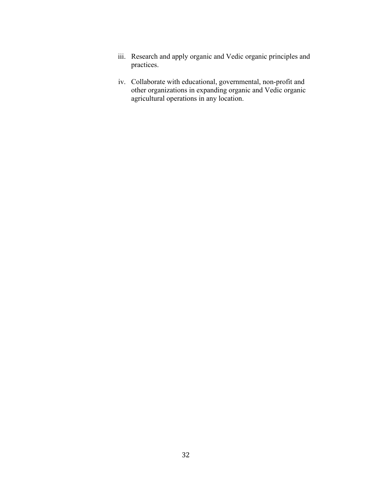- iii. Research and apply organic and Vedic organic principles and practices.
- iv. Collaborate with educational, governmental, non-profit and other organizations in expanding organic and Vedic organic agricultural operations in any location.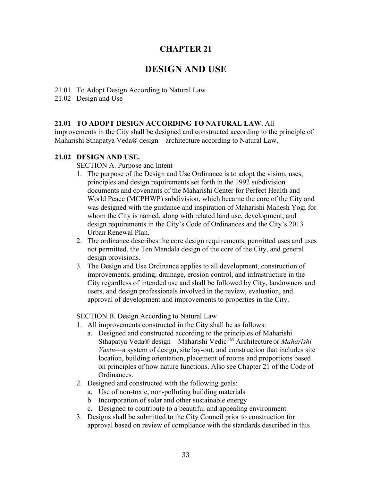# **DESIGN AND USE**

#### 21.01 To Adopt Design According to Natural Law

21.02 Design and Use

#### **21.01 TO ADOPT DESIGN ACCORDING TO NATURAL LAW.** All

improvements in the City shall be designed and constructed according to the principle of Maharishi Sthapatya Veda® design—architecture according to Natural Law.

#### **21.02 DESIGN AND USE.**

#### SECTION A. Purpose and Intent

- 1. The purpose of the Design and Use Ordinance is to adopt the vision, uses, principles and design requirements set forth in the 1992 subdivision documents and covenants of the Maharishi Center for Perfect Health and World Peace (MCPHWP) subdivision, which became the core of the City and was designed with the guidance and inspiration of Maharishi Mahesh Yogi for whom the City is named, along with related land use, development, and design requirements in the City's Code of Ordinances and the City's 2013 Urban Renewal Plan.
- 2. The ordinance describes the core design requirements, permitted uses and uses not permitted, the Ten Mandala design of the core of the City, and general design provisions.
- 3. The Design and Use Ordinance applies to all development, construction of improvements, grading, drainage, erosion control, and infrastructure in the City regardless of intended use and shall be followed by City, landowners and users, and design professionals involved in the review, evaluation, and approval of development and improvements to properties in the City.

#### SECTION B. Design According to Natural Law

- 1. All improvements constructed in the City shall be as follows:
	- a. Designed and constructed according to the principles of Maharishi Sthapatya Veda® design—Maharishi VedicTM Architecture or *Maharishi Vastu*—a system of design, site lay-out, and construction that includes site location, building orientation, placement of rooms and proportions based on principles of how nature functions. Also see Chapter 21 of the Code of Ordinances.
- 2. Designed and constructed with the following goals:
	- a. Use of non-toxic, non-polluting building materials
	- b. Incorporation of solar and other sustainable energy
	- c. Designed to contribute to a beautiful and appealing environment.
- 3. Designs shall be submitted to the City Council prior to construction for approval based on review of compliance with the standards described in this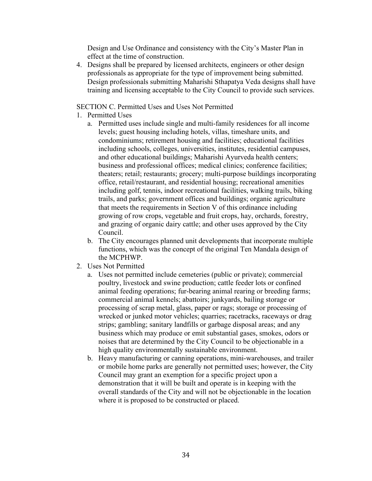Design and Use Ordinance and consistency with the City's Master Plan in effect at the time of construction.

4. Designs shall be prepared by licensed architects, engineers or other design professionals as appropriate for the type of improvement being submitted. Design professionals submitting Maharishi Sthapatya Veda designs shall have training and licensing acceptable to the City Council to provide such services.

#### SECTION C. Permitted Uses and Uses Not Permitted

- 1. Permitted Uses
	- a. Permitted uses include single and multi-family residences for all income levels; guest housing including hotels, villas, timeshare units, and condominiums; retirement housing and facilities; educational facilities including schools, colleges, universities, institutes, residential campuses, and other educational buildings; Maharishi Ayurveda health centers; business and professional offices; medical clinics; conference facilities; theaters; retail; restaurants; grocery; multi-purpose buildings incorporating office, retail/restaurant, and residential housing; recreational amenities including golf, tennis, indoor recreational facilities, walking trails, biking trails, and parks; government offices and buildings; organic agriculture that meets the requirements in Section V of this ordinance including growing of row crops, vegetable and fruit crops, hay, orchards, forestry, and grazing of organic dairy cattle; and other uses approved by the City Council.
	- b. The City encourages planned unit developments that incorporate multiple functions, which was the concept of the original Ten Mandala design of the MCPHWP.
- 2. Uses Not Permitted
	- a. Uses not permitted include cemeteries (public or private); commercial poultry, livestock and swine production; cattle feeder lots or confined animal feeding operations; fur-bearing animal rearing or breeding farms; commercial animal kennels; abattoirs; junkyards, bailing storage or processing of scrap metal, glass, paper or rags; storage or processing of wrecked or junked motor vehicles; quarries; racetracks, raceways or drag strips; gambling; sanitary landfills or garbage disposal areas; and any business which may produce or emit substantial gases, smokes, odors or noises that are determined by the City Council to be objectionable in a high quality environmentally sustainable environment.
	- b. Heavy manufacturing or canning operations, mini-warehouses, and trailer or mobile home parks are generally not permitted uses; however, the City Council may grant an exemption for a specific project upon a demonstration that it will be built and operate is in keeping with the overall standards of the City and will not be objectionable in the location where it is proposed to be constructed or placed.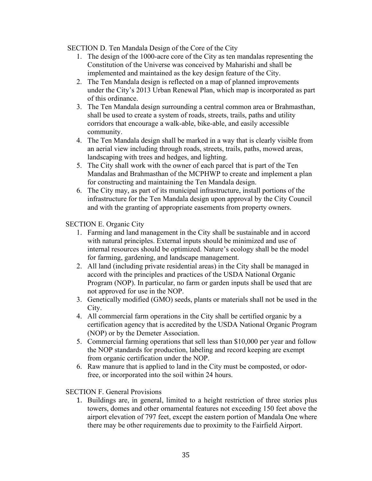SECTION D. Ten Mandala Design of the Core of the City

- 1. The design of the 1000-acre core of the City as ten mandalas representing the Constitution of the Universe was conceived by Maharishi and shall be implemented and maintained as the key design feature of the City.
- 2. The Ten Mandala design is reflected on a map of planned improvements under the City's 2013 Urban Renewal Plan, which map is incorporated as part of this ordinance.
- 3. The Ten Mandala design surrounding a central common area or Brahmasthan, shall be used to create a system of roads, streets, trails, paths and utility corridors that encourage a walk-able, bike-able, and easily accessible community.
- 4. The Ten Mandala design shall be marked in a way that is clearly visible from an aerial view including through roads, streets, trails, paths, mowed areas, landscaping with trees and hedges, and lighting.
- 5. The City shall work with the owner of each parcel that is part of the Ten Mandalas and Brahmasthan of the MCPHWP to create and implement a plan for constructing and maintaining the Ten Mandala design.
- 6. The City may, as part of its municipal infrastructure, install portions of the infrastructure for the Ten Mandala design upon approval by the City Council and with the granting of appropriate easements from property owners.

SECTION E. Organic City

- 1. Farming and land management in the City shall be sustainable and in accord with natural principles. External inputs should be minimized and use of internal resources should be optimized. Nature's ecology shall be the model for farming, gardening, and landscape management.
- 2. All land (including private residential areas) in the City shall be managed in accord with the principles and practices of the USDA National Organic Program (NOP). In particular, no farm or garden inputs shall be used that are not approved for use in the NOP.
- 3. Genetically modified (GMO) seeds, plants or materials shall not be used in the City.
- 4. All commercial farm operations in the City shall be certified organic by a certification agency that is accredited by the USDA National Organic Program (NOP) or by the Demeter Association.
- 5. Commercial farming operations that sell less than \$10,000 per year and follow the NOP standards for production, labeling and record keeping are exempt from organic certification under the NOP.
- 6. Raw manure that is applied to land in the City must be composted, or odorfree, or incorporated into the soil within 24 hours.

SECTION F. General Provisions

1. Buildings are, in general, limited to a height restriction of three stories plus towers, domes and other ornamental features not exceeding 150 feet above the airport elevation of 797 feet, except the eastern portion of Mandala One where there may be other requirements due to proximity to the Fairfield Airport.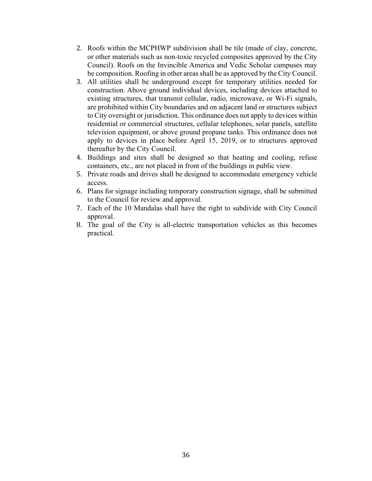- 2. Roofs within the MCPHWP subdivision shall be tile (made of clay, concrete, or other materials such as non-toxic recycled composites approved by the City Council). Roofs on the Invincible America and Vedic Scholar campuses may be composition. Roofing in other areas shall be as approved by the City Council.
- 3. All utilities shall be underground except for temporary utilities needed for construction. Above ground individual devices, including devices attached to existing structures, that transmit cellular, radio, microwave, or Wi-Fi signals, are prohibited within City boundaries and on adjacent land or structures subject to City oversight or jurisdiction. This ordinance does not apply to devices within residential or commercial structures, cellular telephones, solar panels, satellite television equipment, or above ground propane tanks. This ordinance does not apply to devices in place before April 15, 2019, or to structures approved thereafter by the City Council.
- 4. Buildings and sites shall be designed so that heating and cooling, refuse containers, etc., are not placed in front of the buildings in public view.
- 5. Private roads and drives shall be designed to accommodate emergency vehicle access.
- 6. Plans for signage including temporary construction signage, shall be submitted to the Council for review and approval.
- 7. Each of the 10 Mandalas shall have the right to subdivide with City Council approval.
- 8. The goal of the City is all-electric transportation vehicles as this becomes practical.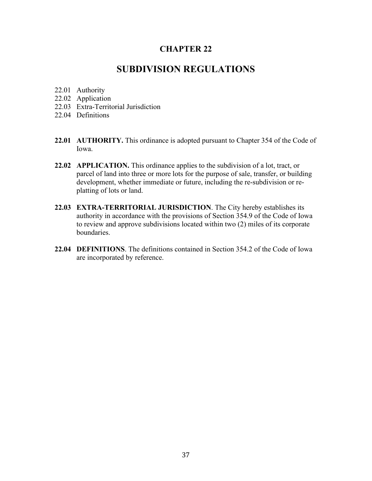# **SUBDIVISION REGULATIONS**

- 22.01 Authority
- 22.02 Application
- 22.03 Extra-Territorial Jurisdiction
- 22.04 Definitions
- **22.01 AUTHORITY.** This ordinance is adopted pursuant to Chapter 354 of the Code of Iowa.
- **22.02 APPLICATION.** This ordinance applies to the subdivision of a lot, tract, or parcel of land into three or more lots for the purpose of sale, transfer, or building development, whether immediate or future, including the re-subdivision or replatting of lots or land.
- **22.03 EXTRA-TERRITORIAL JURISDICTION**. The City hereby establishes its authority in accordance with the provisions of Section 354.9 of the Code of Iowa to review and approve subdivisions located within two (2) miles of its corporate boundaries.
- **22.04 DEFINITIONS**. The definitions contained in Section 354.2 of the Code of Iowa are incorporated by reference.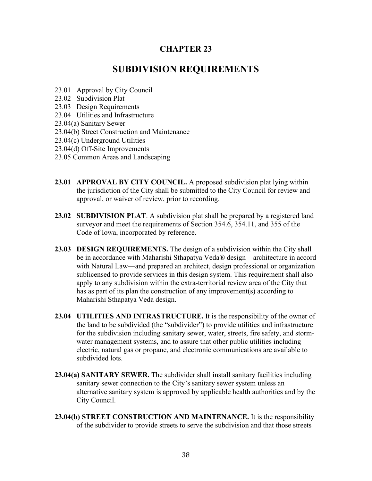# **SUBDIVISION REQUIREMENTS**

- 23.01 Approval by City Council
- 23.02 Subdivision Plat
- 23.03 Design Requirements
- 23.04 Utilities and Infrastructure
- 23.04(a) Sanitary Sewer
- 23.04(b) Street Construction and Maintenance
- 23.04(c) Underground Utilities
- 23.04(d) Off-Site Improvements
- 23.05 Common Areas and Landscaping
- **23.01 APPROVAL BY CITY COUNCIL.** A proposed subdivision plat lying within the jurisdiction of the City shall be submitted to the City Council for review and approval, or waiver of review, prior to recording.
- **23.02 SUBDIVISION PLAT**. A subdivision plat shall be prepared by a registered land surveyor and meet the requirements of Section 354.6, 354.11, and 355 of the Code of Iowa, incorporated by reference.
- **23.03 DESIGN REQUIREMENTS.** The design of a subdivision within the City shall be in accordance with Maharishi Sthapatya Veda® design—architecture in accord with Natural Law—and prepared an architect, design professional or organization sublicensed to provide services in this design system. This requirement shall also apply to any subdivision within the extra-territorial review area of the City that has as part of its plan the construction of any improvement(s) according to Maharishi Sthapatya Veda design.
- **23.04 UTILITIES AND INTRASTRUCTURE.** It is the responsibility of the owner of the land to be subdivided (the "subdivider") to provide utilities and infrastructure for the subdivision including sanitary sewer, water, streets, fire safety, and stormwater management systems, and to assure that other public utilities including electric, natural gas or propane, and electronic communications are available to subdivided lots.
- **23.04(a) SANITARY SEWER.** The subdivider shall install sanitary facilities including sanitary sewer connection to the City's sanitary sewer system unless an alternative sanitary system is approved by applicable health authorities and by the City Council.
- **23.04(b) STREET CONSTRUCTION AND MAINTENANCE.** It is the responsibility of the subdivider to provide streets to serve the subdivision and that those streets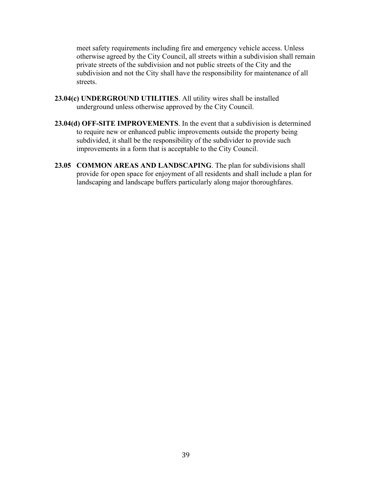meet safety requirements including fire and emergency vehicle access. Unless otherwise agreed by the City Council, all streets within a subdivision shall remain private streets of the subdivision and not public streets of the City and the subdivision and not the City shall have the responsibility for maintenance of all streets.

- **23.04(c) UNDERGROUND UTILITIES**. All utility wires shall be installed underground unless otherwise approved by the City Council.
- **23.04(d) OFF-SITE IMPROVEMENTS**. In the event that a subdivision is determined to require new or enhanced public improvements outside the property being subdivided, it shall be the responsibility of the subdivider to provide such improvements in a form that is acceptable to the City Council.
- **23.05 COMMON AREAS AND LANDSCAPING**. The plan for subdivisions shall provide for open space for enjoyment of all residents and shall include a plan for landscaping and landscape buffers particularly along major thoroughfares.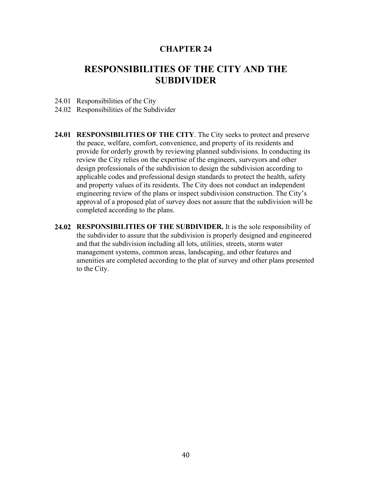# **RESPONSIBILITIES OF THE CITY AND THE SUBDIVIDER**

- 24.01 Responsibilities of the City
- 24.02 Responsibilities of the Subdivider
- **24.01 RESPONSIBILITIES OF THE CITY**. The City seeks to protect and preserve the peace, welfare, comfort, convenience, and property of its residents and provide for orderly growth by reviewing planned subdivisions. In conducting its review the City relies on the expertise of the engineers, surveyors and other design professionals of the subdivision to design the subdivision according to applicable codes and professional design standards to protect the health, safety and property values of its residents. The City does not conduct an independent engineering review of the plans or inspect subdivision construction. The City's approval of a proposed plat of survey does not assure that the subdivision will be completed according to the plans.
- **24.02 RESPONSIBILITIES OF THE SUBDIVIDER.** It is the sole responsibility of the subdivider to assure that the subdivision is properly designed and engineered and that the subdivision including all lots, utilities, streets, storm water management systems, common areas, landscaping, and other features and amenities are completed according to the plat of survey and other plans presented to the City.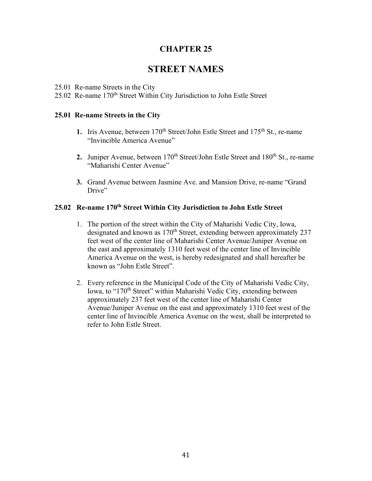# **STREET NAMES**

25.01 Re-name Streets in the City

25.02 Re-name 170<sup>th</sup> Street Within City Jurisdiction to John Estle Street

#### **25.01 Re-name Streets in the City**

- **1.** Iris Avenue, between 170<sup>th</sup> Street/John Estle Street and 175<sup>th</sup> St., re-name "Invincible America Avenue"
- **2.** Juniper Avenue, between 170<sup>th</sup> Street/John Estle Street and 180<sup>th</sup> St., re-name "Maharishi Center Avenue"
- **3.** Grand Avenue between Jasmine Ave. and Mansion Drive, re-name "Grand Drive"

#### **25.02 Re-name 170th Street Within City Jurisdiction to John Estle Street**

- 1. The portion of the street within the City of Maharishi Vedic City, Iowa, designated and known as 170<sup>th</sup> Street, extending between approximately 237 feet west of the center line of Maharishi Center Avenue/Juniper Avenue on the east and approximately 1310 feet west of the center line of Invincible America Avenue on the west, is hereby redesignated and shall hereafter be known as "John Estle Street".
- 2. Every reference in the Municipal Code of the City of Maharishi Vedic City, Iowa, to "170<sup>th</sup> Street" within Maharishi Vedic City, extending between approximately 237 feet west of the center line of Maharishi Center Avenue/Juniper Avenue on the east and approximately 1310 feet west of the center line of Invincible America Avenue on the west, shall be interpreted to refer to John Estle Street.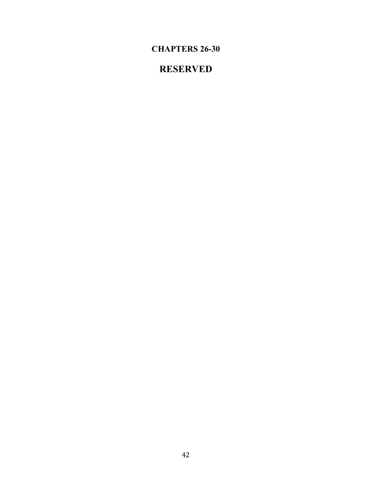# **CHAPTERS 26-30**

# **RESERVED**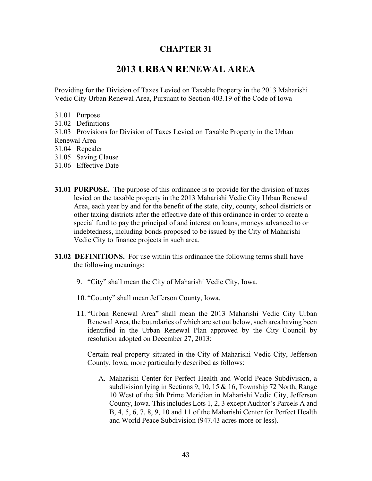## **2013 URBAN RENEWAL AREA**

Providing for the Division of Taxes Levied on Taxable Property in the 2013 Maharishi Vedic City Urban Renewal Area, Pursuant to Section 403.19 of the Code of Iowa

- 31.01 Purpose
- 31.02 Definitions

31.03 Provisions for Division of Taxes Levied on Taxable Property in the Urban Renewal Area

- 31.04 Repealer
- 31.05 Saving Clause
- 31.06 Effective Date
- **31.01 PURPOSE.** The purpose of this ordinance is to provide for the division of taxes levied on the taxable property in the 2013 Maharishi Vedic City Urban Renewal Area, each year by and for the benefit of the state, city, county, school districts or other taxing districts after the effective date of this ordinance in order to create a special fund to pay the principal of and interest on loans, moneys advanced to or indebtedness, including bonds proposed to be issued by the City of Maharishi Vedic City to finance projects in such area.
- **31.02 DEFINITIONS.** For use within this ordinance the following terms shall have the following meanings:
	- 9. "City" shall mean the City of Maharishi Vedic City, Iowa.
	- 10. "County" shall mean Jefferson County, Iowa.
	- 11. "Urban Renewal Area" shall mean the 2013 Maharishi Vedic City Urban Renewal Area, the boundaries of which are set out below, such area having been identified in the Urban Renewal Plan approved by the City Council by resolution adopted on December 27, 2013:

Certain real property situated in the City of Maharishi Vedic City, Jefferson County, Iowa, more particularly described as follows:

A. Maharishi Center for Perfect Health and World Peace Subdivision, a subdivision lying in Sections 9, 10, 15 & 16, Township 72 North, Range 10 West of the 5th Prime Meridian in Maharishi Vedic City, Jefferson County, Iowa. This includes Lots 1, 2, 3 except Auditor's Parcels A and B, 4, 5, 6, 7, 8, 9, 10 and 11 of the Maharishi Center for Perfect Health and World Peace Subdivision (947.43 acres more or less).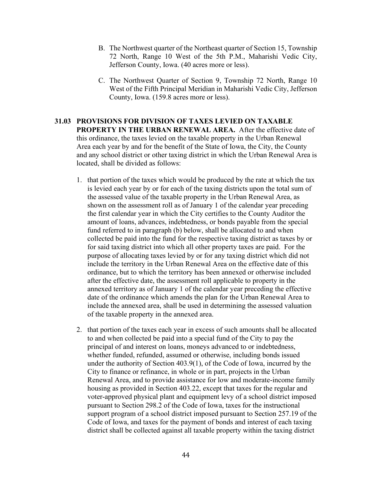- B. The Northwest quarter of the Northeast quarter of Section 15, Township 72 North, Range 10 West of the 5th P.M., Maharishi Vedic City, Jefferson County, Iowa. (40 acres more or less).
- C. The Northwest Quarter of Section 9, Township 72 North, Range 10 West of the Fifth Principal Meridian in Maharishi Vedic City, Jefferson County, Iowa. (159.8 acres more or less).

#### **31.03 PROVISIONS FOR DIVISION OF TAXES LEVIED ON TAXABLE PROPERTY IN THE URBAN RENEWAL AREA.** After the effective date of this ordinance, the taxes levied on the taxable property in the Urban Renewal Area each year by and for the benefit of the State of Iowa, the City, the County and any school district or other taxing district in which the Urban Renewal Area is located, shall be divided as follows:

- 1. that portion of the taxes which would be produced by the rate at which the tax is levied each year by or for each of the taxing districts upon the total sum of the assessed value of the taxable property in the Urban Renewal Area, as shown on the assessment roll as of January 1 of the calendar year preceding the first calendar year in which the City certifies to the County Auditor the amount of loans, advances, indebtedness, or bonds payable from the special fund referred to in paragraph (b) below, shall be allocated to and when collected be paid into the fund for the respective taxing district as taxes by or for said taxing district into which all other property taxes are paid. For the purpose of allocating taxes levied by or for any taxing district which did not include the territory in the Urban Renewal Area on the effective date of this ordinance, but to which the territory has been annexed or otherwise included after the effective date, the assessment roll applicable to property in the annexed territory as of January 1 of the calendar year preceding the effective date of the ordinance which amends the plan for the Urban Renewal Area to include the annexed area, shall be used in determining the assessed valuation of the taxable property in the annexed area.
- 2. that portion of the taxes each year in excess of such amounts shall be allocated to and when collected be paid into a special fund of the City to pay the principal of and interest on loans, moneys advanced to or indebtedness, whether funded, refunded, assumed or otherwise, including bonds issued under the authority of Section 403.9(1), of the Code of Iowa, incurred by the City to finance or refinance, in whole or in part, projects in the Urban Renewal Area, and to provide assistance for low and moderate-income family housing as provided in Section 403.22, except that taxes for the regular and voter-approved physical plant and equipment levy of a school district imposed pursuant to Section 298.2 of the Code of Iowa, taxes for the instructional support program of a school district imposed pursuant to Section 257.19 of the Code of Iowa, and taxes for the payment of bonds and interest of each taxing district shall be collected against all taxable property within the taxing district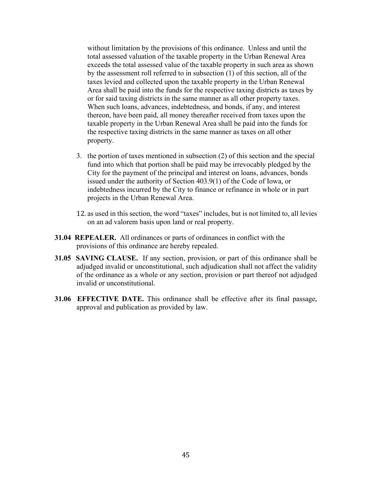without limitation by the provisions of this ordinance. Unless and until the total assessed valuation of the taxable property in the Urban Renewal Area exceeds the total assessed value of the taxable property in such area as shown by the assessment roll referred to in subsection (1) of this section, all of the taxes levied and collected upon the taxable property in the Urban Renewal Area shall be paid into the funds for the respective taxing districts as taxes by or for said taxing districts in the same manner as all other property taxes. When such loans, advances, indebtedness, and bonds, if any, and interest thereon, have been paid, all money thereafter received from taxes upon the taxable property in the Urban Renewal Area shall be paid into the funds for the respective taxing districts in the same manner as taxes on all other property.

- 3. the portion of taxes mentioned in subsection (2) of this section and the special fund into which that portion shall be paid may be irrevocably pledged by the City for the payment of the principal and interest on loans, advances, bonds issued under the authority of Section 403.9(1) of the Code of Iowa, or indebtedness incurred by the City to finance or refinance in whole or in part projects in the Urban Renewal Area.
- 12. as used in this section, the word "taxes" includes, but is not limited to, all levies on an ad valorem basis upon land or real property.
- **31.04 REPEALER.** All ordinances or parts of ordinances in conflict with the provisions of this ordinance are hereby repealed.
- **31.05 SAVING CLAUSE.** If any section, provision, or part of this ordinance shall be adjudged invalid or unconstitutional, such adjudication shall not affect the validity of the ordinance as a whole or any section, provision or part thereof not adjudged invalid or unconstitutional.
- **31.06 EFFECTIVE DATE.** This ordinance shall be effective after its final passage, approval and publication as provided by law.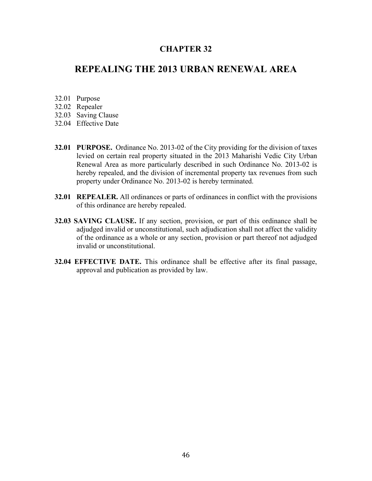### **REPEALING THE 2013 URBAN RENEWAL AREA**

- 32.01 Purpose
- 32.02 Repealer
- 32.03 Saving Clause
- 32.04 Effective Date
- **32.01 PURPOSE.** Ordinance No. 2013-02 of the City providing for the division of taxes levied on certain real property situated in the 2013 Maharishi Vedic City Urban Renewal Area as more particularly described in such Ordinance No. 2013-02 is hereby repealed, and the division of incremental property tax revenues from such property under Ordinance No. 2013-02 is hereby terminated.
- **32.01 REPEALER.** All ordinances or parts of ordinances in conflict with the provisions of this ordinance are hereby repealed.
- **32.03 SAVING CLAUSE.** If any section, provision, or part of this ordinance shall be adjudged invalid or unconstitutional, such adjudication shall not affect the validity of the ordinance as a whole or any section, provision or part thereof not adjudged invalid or unconstitutional.
- **32.04 EFFECTIVE DATE.** This ordinance shall be effective after its final passage, approval and publication as provided by law.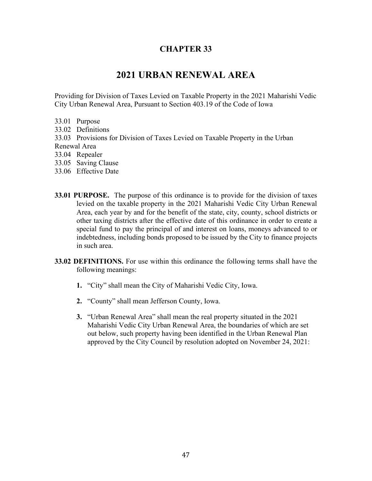# **2021 URBAN RENEWAL AREA**

Providing for Division of Taxes Levied on Taxable Property in the 2021 Maharishi Vedic City Urban Renewal Area, Pursuant to Section 403.19 of the Code of Iowa

- 33.01 Purpose
- 33.02 Definitions
- 33.03 Provisions for Division of Taxes Levied on Taxable Property in the Urban
- Renewal Area
- 33.04 Repealer
- 33.05 Saving Clause
- 33.06 Effective Date
- **33.01 PURPOSE.** The purpose of this ordinance is to provide for the division of taxes levied on the taxable property in the 2021 Maharishi Vedic City Urban Renewal Area, each year by and for the benefit of the state, city, county, school districts or other taxing districts after the effective date of this ordinance in order to create a special fund to pay the principal of and interest on loans, moneys advanced to or indebtedness, including bonds proposed to be issued by the City to finance projects in such area.
- **33.02 DEFINITIONS.** For use within this ordinance the following terms shall have the following meanings:
	- **1.** "City" shall mean the City of Maharishi Vedic City, Iowa.
	- **2.** "County" shall mean Jefferson County, Iowa.
	- **3.** "Urban Renewal Area" shall mean the real property situated in the 2021 Maharishi Vedic City Urban Renewal Area, the boundaries of which are set out below, such property having been identified in the Urban Renewal Plan approved by the City Council by resolution adopted on November 24, 2021: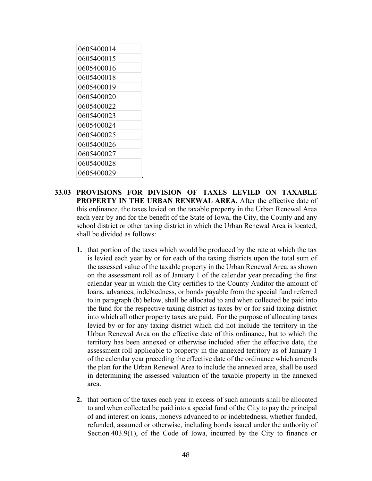| 0605400014 |
|------------|
| 0605400015 |
| 0605400016 |
| 0605400018 |
| 0605400019 |
| 0605400020 |
| 0605400022 |
| 0605400023 |
| 0605400024 |
| 0605400025 |
| 0605400026 |
| 0605400027 |
| 0605400028 |
| 0605400029 |

- **33.03 PROVISIONS FOR DIVISION OF TAXES LEVIED ON TAXABLE PROPERTY IN THE URBAN RENEWAL AREA.** After the effective date of this ordinance, the taxes levied on the taxable property in the Urban Renewal Area each year by and for the benefit of the State of Iowa, the City, the County and any school district or other taxing district in which the Urban Renewal Area is located, shall be divided as follows:
	- **1.** that portion of the taxes which would be produced by the rate at which the tax is levied each year by or for each of the taxing districts upon the total sum of the assessed value of the taxable property in the Urban Renewal Area, as shown on the assessment roll as of January 1 of the calendar year preceding the first calendar year in which the City certifies to the County Auditor the amount of loans, advances, indebtedness, or bonds payable from the special fund referred to in paragraph (b) below, shall be allocated to and when collected be paid into the fund for the respective taxing district as taxes by or for said taxing district into which all other property taxes are paid. For the purpose of allocating taxes levied by or for any taxing district which did not include the territory in the Urban Renewal Area on the effective date of this ordinance, but to which the territory has been annexed or otherwise included after the effective date, the assessment roll applicable to property in the annexed territory as of January 1 of the calendar year preceding the effective date of the ordinance which amends the plan for the Urban Renewal Area to include the annexed area, shall be used in determining the assessed valuation of the taxable property in the annexed area.
	- **2.** that portion of the taxes each year in excess of such amounts shall be allocated to and when collected be paid into a special fund of the City to pay the principal of and interest on loans, moneys advanced to or indebtedness, whether funded, refunded, assumed or otherwise, including bonds issued under the authority of Section 403.9(1), of the Code of Iowa, incurred by the City to finance or